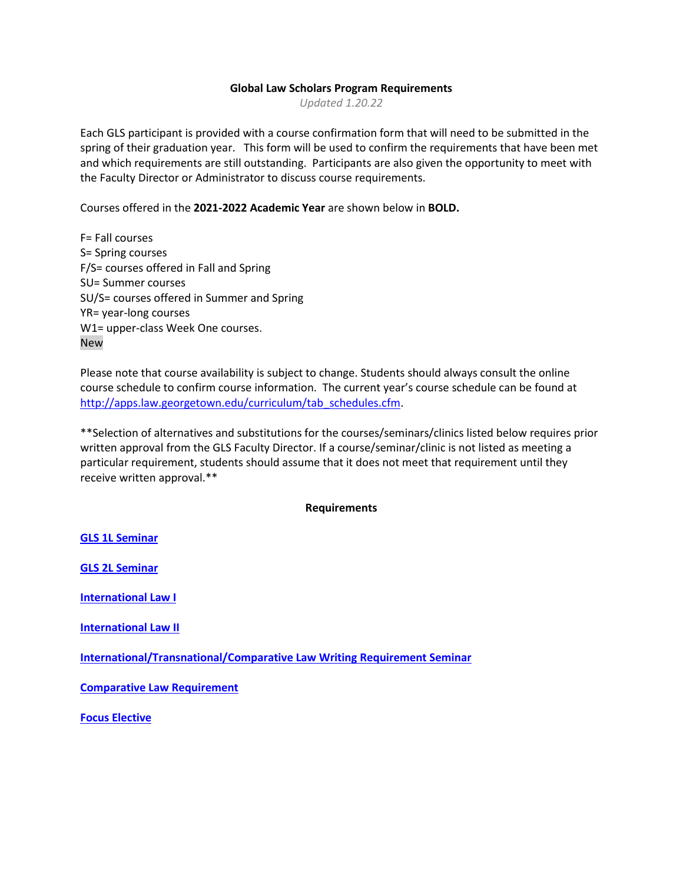## **Global Law Scholars Program Requirements**

*Updated 1.20.22*

Each GLS participant is provided with a course confirmation form that will need to be submitted in the spring of their graduation year. This form will be used to confirm the requirements that have been met and which requirements are still outstanding. Participants are also given the opportunity to meet with the Faculty Director or Administrator to discuss course requirements.

Courses offered in the **2021-2022 Academic Year** are shown below in **BOLD.** 

F= Fall courses S= Spring courses F/S= courses offered in Fall and Spring SU= Summer courses SU/S= courses offered in Summer and Spring YR= year-long courses W1= upper-class Week One courses. New

Please note that course availability is subject to change. Students should always consult the online course schedule to confirm course information. The current year's course schedule can be found at [http://apps.law.georgetown.edu/curriculum/tab\\_schedules.cfm.](http://apps.law.georgetown.edu/curriculum/tab_schedules.cfm)

\*\*Selection of alternatives and substitutions for the courses/seminars/clinics listed below requires prior written approval from the GLS Faculty Director. If a course/seminar/clinic is not listed as meeting a particular requirement, students should assume that it does not meet that requirement until they receive written approval.\*\*

### **Requirements**

**[GLS 1L Seminar](#page-1-0)**

**[GLS 2L Seminar](#page-1-1)**

**[International Law I](#page-1-2)**

**International Law II**

**[International/Transnational/Comparative Law Writing Requirement Seminar](#page-2-0)**

**[Comparative Law Requirement](#page-3-0)**

**[Focus Elective](#page-4-0)**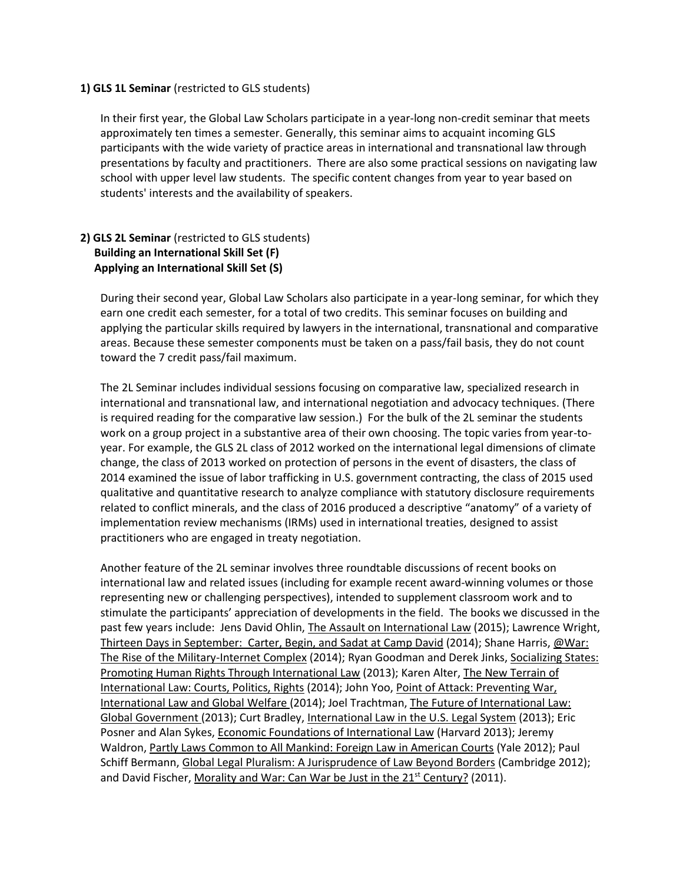### <span id="page-1-0"></span>**1) GLS 1L Seminar** (restricted to GLS students)

In their first year, the Global Law Scholars participate in a year-long non-credit seminar that meets approximately ten times a semester. Generally, this seminar aims to acquaint incoming GLS participants with the wide variety of practice areas in international and transnational law through presentations by faculty and practitioners. There are also some practical sessions on navigating law school with upper level law students. The specific content changes from year to year based on students' interests and the availability of speakers.

# <span id="page-1-1"></span>**2) GLS 2L Seminar** (restricted to GLS students) **Building an International Skill Set (F) Applying an International Skill Set (S)**

During their second year, Global Law Scholars also participate in a year-long seminar, for which they earn one credit each semester, for a total of two credits. This seminar focuses on building and applying the particular skills required by lawyers in the international, transnational and comparative areas. Because these semester components must be taken on a pass/fail basis, they do not count toward the 7 credit pass/fail maximum.

The 2L Seminar includes individual sessions focusing on comparative law, specialized research in international and transnational law, and international negotiation and advocacy techniques. (There is required reading for the comparative law session.) For the bulk of the 2L seminar the students work on a group project in a substantive area of their own choosing. The topic varies from year-toyear. For example, the GLS 2L class of 2012 worked on the international legal dimensions of climate change, the class of 2013 worked on protection of persons in the event of disasters, the class of 2014 examined the issue of labor trafficking in U.S. government contracting, the class of 2015 used qualitative and quantitative research to analyze compliance with statutory disclosure requirements related to conflict minerals, and the class of 2016 produced a descriptive "anatomy" of a variety of implementation review mechanisms (IRMs) used in international treaties, designed to assist practitioners who are engaged in treaty negotiation.

<span id="page-1-2"></span>Another feature of the 2L seminar involves three roundtable discussions of recent books on international law and related issues (including for example recent award-winning volumes or those representing new or challenging perspectives), intended to supplement classroom work and to stimulate the participants' appreciation of developments in the field. The books we discussed in the past few years include: Jens David Ohlin, The Assault on International Law (2015); Lawrence Wright, Thirteen Days in September: Carter, Begin, and Sadat at Camp David (2014); Shane Harris, @War: The Rise of the Military-Internet Complex (2014); Ryan Goodman and Derek Jinks, Socializing States: Promoting Human Rights Through International Law (2013); Karen Alter, The New Terrain of International Law: Courts, Politics, Rights (2014); John Yoo, Point of Attack: Preventing War, International Law and Global Welfare (2014); Joel Trachtman, The Future of International Law: Global Government (2013); Curt Bradley, International Law in the U.S. Legal System (2013); Eric Posner and Alan Sykes, Economic Foundations of International Law (Harvard 2013); Jeremy Waldron, Partly Laws Common to All Mankind: Foreign Law in American Courts (Yale 2012); Paul Schiff Bermann, Global Legal Pluralism: A Jurisprudence of Law Beyond Borders (Cambridge 2012); and David Fischer, Morality and War: Can War be Just in the 21<sup>st</sup> Century? (2011).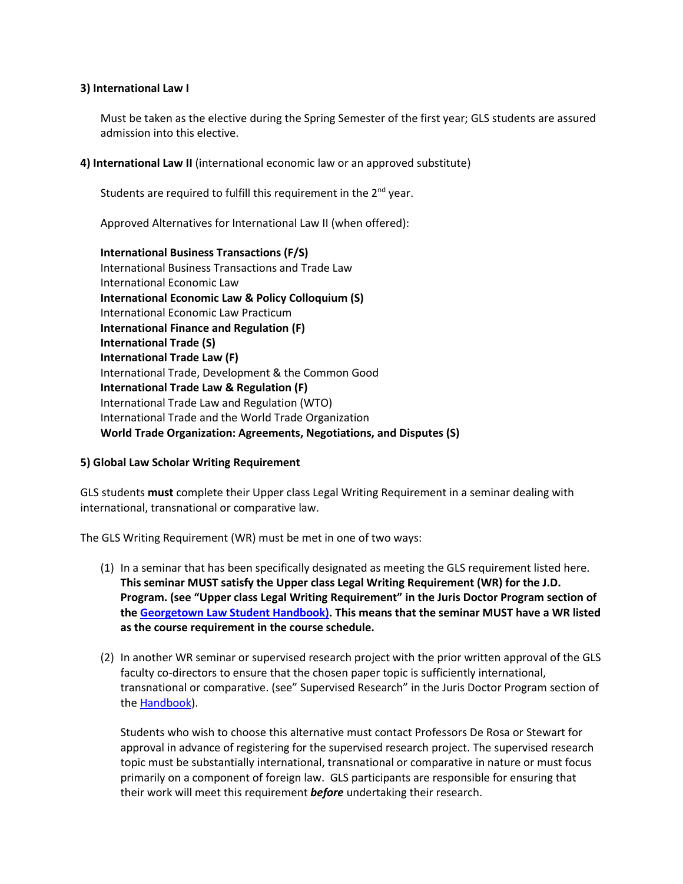### **3) International Law I**

Must be taken as the elective during the Spring Semester of the first year; GLS students are assured admission into this elective.

<span id="page-2-0"></span>**4) International Law II** (international economic law or an approved substitute)

Students are required to fulfill this requirement in the  $2<sup>nd</sup>$  year.

Approved Alternatives for International Law II (when offered):

**International Business Transactions (F/S)**  International Business Transactions and Trade Law International Economic Law **International Economic Law & Policy Colloquium (S)** International Economic Law Practicum **International Finance and Regulation (F) International Trade (S) International Trade Law (F)** International Trade, Development & the Common Good **International Trade Law & Regulation (F)** International Trade Law and Regulation (WTO) International Trade and the World Trade Organization **World Trade Organization: Agreements, Negotiations, and Disputes (S)**

# **5) Global Law Scholar Writing Requirement**

GLS students **must** complete their Upper class Legal Writing Requirement in a seminar dealing with international, transnational or comparative law.

The GLS Writing Requirement (WR) must be met in one of two ways:

- (1) In a seminar that has been specifically designated as meeting the GLS requirement listed here. **This seminar MUST satisfy the Upper class Legal Writing Requirement (WR) for the J.D. Program. (see "Upper class Legal Writing Requirement" in the Juris Doctor Program section of the Georgetown [Law Student Handbook\).](http://www.law.georgetown.edu/campus-services/registrar/handbook/upload/juris_doctor_program.pdf) This means that the seminar MUST have a WR listed as the course requirement in the course schedule.**
- (2) In another WR seminar or supervised research project with the prior written approval of the GLS faculty co-directors to ensure that the chosen paper topic is sufficiently international, transnational or comparative. (see" Supervised Research" in the Juris Doctor Program section of th[e Handbook\)](http://www.law.georgetown.edu/campus-services/registrar/handbook/upload/juris_doctor_program.pdf).

Students who wish to choose this alternative must contact Professors De Rosa or Stewart for approval in advance of registering for the supervised research project. The supervised research topic must be substantially international, transnational or comparative in nature or must focus primarily on a component of foreign law. GLS participants are responsible for ensuring that their work will meet this requirement *before* undertaking their research.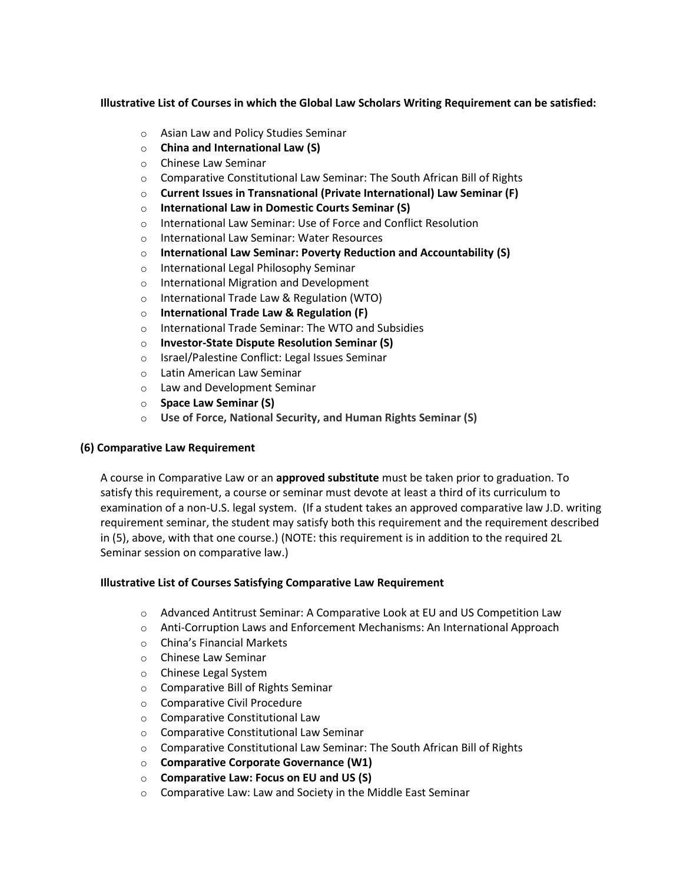# **Illustrative List of Courses in which the Global Law Scholars Writing Requirement can be satisfied:**

- o Asian Law and Policy Studies Seminar
- o **China and International Law (S)**
- o Chinese Law Seminar
- o Comparative Constitutional Law Seminar: The South African Bill of Rights
- o **Current Issues in Transnational (Private International) Law Seminar (F)**
- o **International Law in Domestic Courts Seminar (S)**
- o International Law Seminar: Use of Force and Conflict Resolution
- o International Law Seminar: Water Resources
- o **International Law Seminar: Poverty Reduction and Accountability (S)**
- o International Legal Philosophy Seminar
- o International Migration and Development
- o International Trade Law & Regulation (WTO)
- o **International Trade Law & Regulation (F)**
- o International Trade Seminar: The WTO and Subsidies
- o **Investor-State Dispute Resolution Seminar (S)**
- o Israel/Palestine Conflict: Legal Issues Seminar
- o Latin American Law Seminar
- o Law and Development Seminar
- o **Space Law Seminar (S)**
- o **Use of Force, National Security, and Human Rights Seminar (S)**

# <span id="page-3-0"></span>**(6) Comparative Law Requirement**

A course in Comparative Law or an **approved substitute** must be taken prior to graduation. To satisfy this requirement, a course or seminar must devote at least a third of its curriculum to examination of a non-U.S. legal system. (If a student takes an approved comparative law J.D. writing requirement seminar, the student may satisfy both this requirement and the requirement described in (5), above, with that one course.) (NOTE: this requirement is in addition to the required 2L Seminar session on comparative law.)

# **Illustrative List of Courses Satisfying Comparative Law Requirement**

- o Advanced Antitrust Seminar: A Comparative Look at EU and US Competition Law
- $\circ$  Anti-Corruption Laws and Enforcement Mechanisms: An International Approach
- o China's Financial Markets
- o Chinese Law Seminar
- o Chinese Legal System
- o Comparative Bill of Rights Seminar
- o Comparative Civil Procedure
- o Comparative Constitutional Law
- o Comparative Constitutional Law Seminar
- o Comparative Constitutional Law Seminar: The South African Bill of Rights
- o **Comparative Corporate Governance (W1)**
- o **Comparative Law: Focus on EU and US (S)**
- o Comparative Law: Law and Society in the Middle East Seminar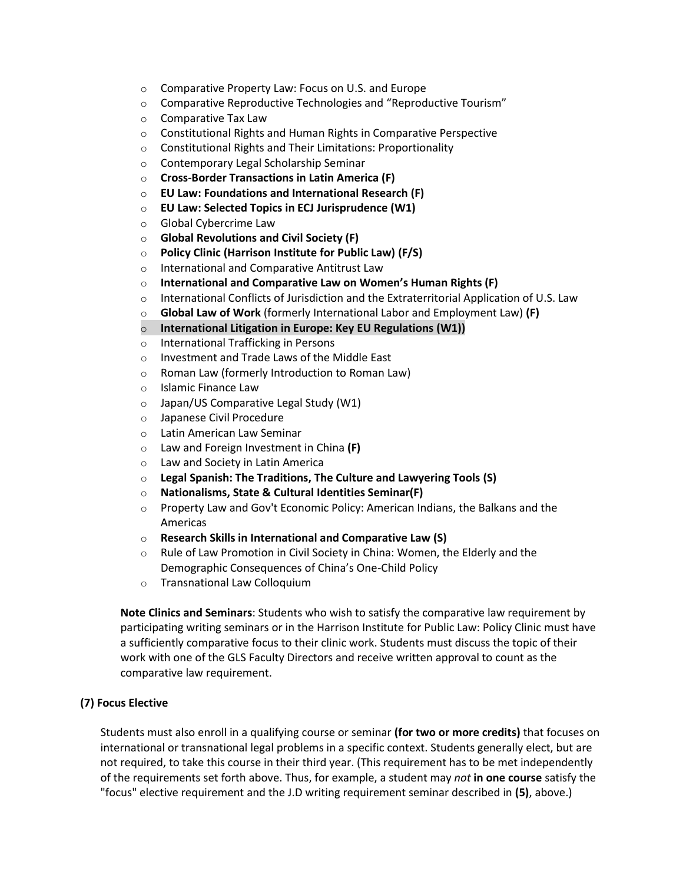- o Comparative Property Law: Focus on U.S. and Europe
- o Comparative Reproductive Technologies and "Reproductive Tourism"
- o Comparative Tax Law
- o Constitutional Rights and Human Rights in Comparative Perspective
- o Constitutional Rights and Their Limitations: Proportionality
- o Contemporary Legal Scholarship Seminar
- o **Cross-Border Transactions in Latin America (F)**
- o **EU Law: Foundations and International Research (F)**
- o **EU Law: Selected Topics in ECJ Jurisprudence (W1)**
- o Global Cybercrime Law
- o **Global Revolutions and Civil Society (F)**
- o **Policy Clinic (Harrison Institute for Public Law) (F/S)**
- o International and Comparative Antitrust Law
- o **International and Comparative Law on Women's Human Rights (F)**
- $\circ$  International Conflicts of Jurisdiction and the Extraterritorial Application of U.S. Law
- o **Global Law of Work** (formerly International Labor and Employment Law) **(F)**
- o **International Litigation in Europe: Key EU Regulations (W1))**
- o International Trafficking in Persons
- o Investment and Trade Laws of the Middle East
- o Roman Law (formerly Introduction to Roman Law)
- o Islamic Finance Law
- o Japan/US Comparative Legal Study (W1)
- o Japanese Civil Procedure
- o Latin American Law Seminar
- o Law and Foreign Investment in China **(F)**
- o Law and Society in Latin America
- o **Legal Spanish: The Traditions, The Culture and Lawyering Tools (S)**
- o **Nationalisms, State & Cultural Identities Seminar(F)**
- $\circ$  Property Law and Gov't Economic Policy: American Indians, the Balkans and the Americas
- o **Research Skills in International and Comparative Law (S)**
- o Rule of Law Promotion in Civil Society in China: Women, the Elderly and the Demographic Consequences of China's One-Child Policy
- o Transnational Law Colloquium

**Note Clinics and Seminars**: Students who wish to satisfy the comparative law requirement by participating writing seminars or in the Harrison Institute for Public Law: Policy Clinic must have a sufficiently comparative focus to their clinic work. Students must discuss the topic of their work with one of the GLS Faculty Directors and receive written approval to count as the comparative law requirement.

# <span id="page-4-0"></span>**(7) Focus Elective**

Students must also enroll in a qualifying course or seminar **(for two or more credits)** that focuses on international or transnational legal problems in a specific context. Students generally elect, but are not required, to take this course in their third year. (This requirement has to be met independently of the requirements set forth above. Thus, for example, a student may *not* **in one course** satisfy the "focus" elective requirement and the J.D writing requirement seminar described in **(5)**, above.)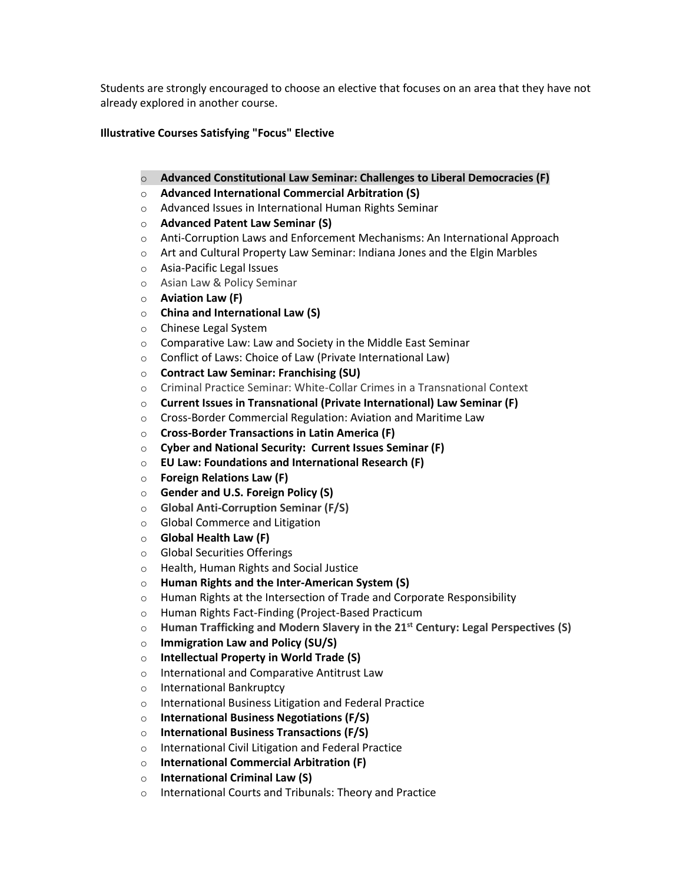Students are strongly encouraged to choose an elective that focuses on an area that they have not already explored in another course.

# **Illustrative Courses Satisfying "Focus" Elective**

- o **Advanced Constitutional Law Seminar: Challenges to Liberal Democracies (F)**
- o **Advanced International Commercial Arbitration (S)**
- o Advanced Issues in International Human Rights Seminar
- o **Advanced Patent Law Seminar (S)**
- $\circ$  Anti-Corruption Laws and Enforcement Mechanisms: An International Approach
- $\circ$  Art and Cultural Property Law Seminar: Indiana Jones and the Elgin Marbles
- o Asia-Pacific Legal Issues
- o Asian Law & Policy Seminar
- o **Aviation Law (F)**
- o **China and International Law (S)**
- o Chinese Legal System
- o Comparative Law: Law and Society in the Middle East Seminar
- o Conflict of Laws: Choice of Law (Private International Law)
- o **Contract Law Seminar: Franchising (SU)**
- o Criminal Practice Seminar: White-Collar Crimes in a Transnational Context
- o **Current Issues in Transnational (Private International) Law Seminar (F)**
- o Cross-Border Commercial Regulation: Aviation and Maritime Law
- o **Cross-Border Transactions in Latin America (F)**
- o **Cyber and National Security: Current Issues Seminar (F)**
- o **EU Law: Foundations and International Research (F)**
- o **Foreign Relations Law (F)**
- o **Gender and U.S. Foreign Policy (S)**
- o **Global Anti-Corruption Seminar (F/S)**
- o Global Commerce and Litigation
- o **Global Health Law (F)**
- o Global Securities Offerings
- o Health, Human Rights and Social Justice
- o **Human Rights and the Inter-American System (S)**
- $\circ$  Human Rights at the Intersection of Trade and Corporate Responsibility
- o Human Rights Fact-Finding (Project-Based Practicum
- o **Human Trafficking and Modern Slavery in the 21st Century: Legal Perspectives (S)**
- o **Immigration Law and Policy (SU/S)**
- o **Intellectual Property in World Trade (S)**
- o International and Comparative Antitrust Law
- o International Bankruptcy
- o International Business Litigation and Federal Practice
- o **International Business Negotiations (F/S)**
- o **International Business Transactions (F/S)**
- o International Civil Litigation and Federal Practice
- o **International Commercial Arbitration (F)**
- o **International Criminal Law (S)**
- o International Courts and Tribunals: Theory and Practice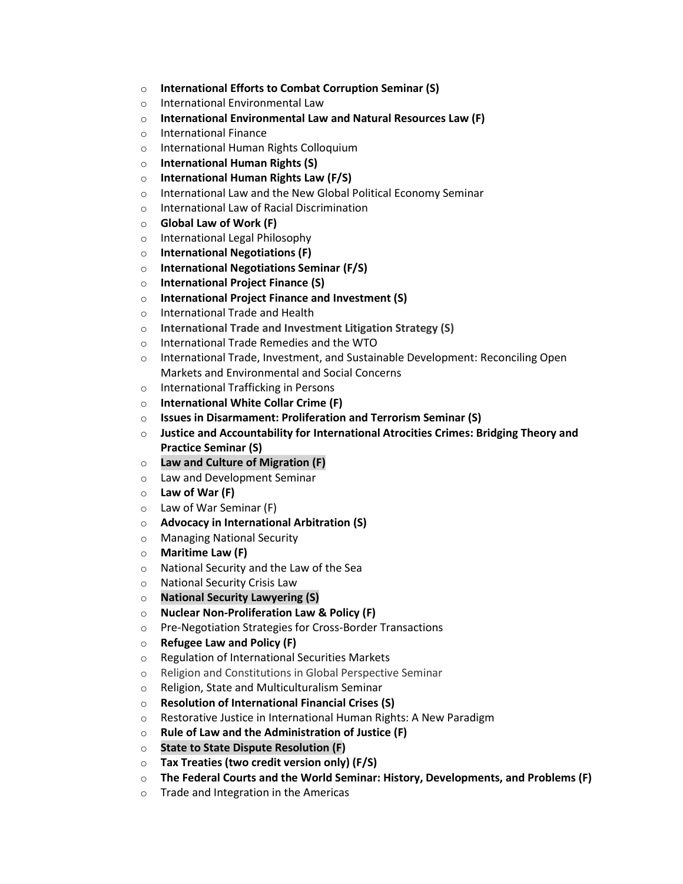- o **International Efforts to Combat Corruption Seminar (S)**
- o International Environmental Law
- o **International Environmental Law and Natural Resources Law (F)**
- o International Finance
- o International Human Rights Colloquium
- o **International Human Rights (S)**
- o **International Human Rights Law (F/S)**
- o International Law and the New Global Political Economy Seminar
- o International Law of Racial Discrimination
- o **Global Law of Work (F)**
- o International Legal Philosophy
- o **International Negotiations (F)**
- o **International Negotiations Seminar (F/S)**
- o **International Project Finance (S)**
- o **International Project Finance and Investment (S)**
- o International Trade and Health
- o **International Trade and Investment Litigation Strategy (S)**
- o International Trade Remedies and the WTO
- o International Trade, Investment, and Sustainable Development: Reconciling Open Markets and Environmental and Social Concerns
- o International Trafficking in Persons
- o **International White Collar Crime (F)**
- o **Issues in Disarmament: Proliferation and Terrorism Seminar (S)**
- o **Justice and Accountability for International Atrocities Crimes: Bridging Theory and Practice Seminar (S)**
- o **Law and Culture of Migration (F)**
- o Law and Development Seminar
- o **Law of War (F)**
- o Law of War Seminar (F)
- o **Advocacy in International Arbitration (S)**
- o Managing National Security
- o **Maritime Law (F)**
- o National Security and the Law of the Sea
- o National Security Crisis Law
- o **National Security Lawyering (S)**
- o **Nuclear Non-Proliferation Law & Policy (F)**
- o Pre-Negotiation Strategies for Cross-Border Transactions
- o **Refugee Law and Policy (F)**
- o Regulation of International Securities Markets
- o Religion and Constitutions in Global Perspective Seminar
- o Religion, State and Multiculturalism Seminar
- o **Resolution of International Financial Crises (S)**
- o Restorative Justice in International Human Rights: A New Paradigm
- o **Rule of Law and the Administration of Justice (F)**
- o **State to State Dispute Resolution (F)**
- o **Tax Treaties (two credit version only) (F/S)**
- o **The Federal Courts and the World Seminar: History, Developments, and Problems (F)**
- o Trade and Integration in the Americas